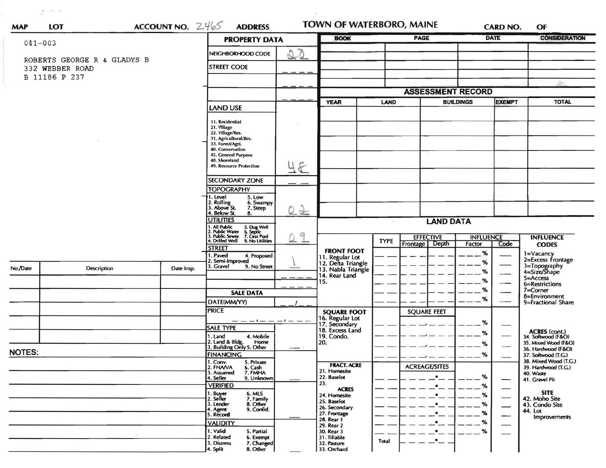| $\mathbf{P}_1 = -0.04$ , $\mathbf{P}_2 = -1$<br><b>MAP</b> | <b>LOT</b>         | ACCOUNT NO. $2465$ | <b>ADDRESS</b>                                                                                                              |                                | TOWN OF WATERBORO, MAINE              |             |                                    |                            | <b>CARD NO.</b>                | <b>OF</b>                                                   |  |
|------------------------------------------------------------|--------------------|--------------------|-----------------------------------------------------------------------------------------------------------------------------|--------------------------------|---------------------------------------|-------------|------------------------------------|----------------------------|--------------------------------|-------------------------------------------------------------|--|
|                                                            |                    |                    | <b>PROPERTY DATA</b>                                                                                                        |                                | <b>BOOK</b>                           | <b>PAGE</b> |                                    | <b>DATE</b>                |                                | <b>CONSIDERATION</b>                                        |  |
| $041 - 003$                                                |                    |                    | NEIGHBORHOOD CODE                                                                                                           | $\mathcal{D}$<br>$\frac{2}{3}$ |                                       |             |                                    |                            |                                |                                                             |  |
| ROBERTS GEORGE R & GLADYS B<br>332 WEBBER ROAD             |                    |                    | <b>STREET CODE</b>                                                                                                          |                                |                                       |             |                                    |                            |                                |                                                             |  |
| B 11186 P 237                                              |                    |                    |                                                                                                                             |                                |                                       |             |                                    |                            |                                |                                                             |  |
|                                                            |                    |                    |                                                                                                                             |                                |                                       |             |                                    |                            |                                |                                                             |  |
|                                                            |                    |                    |                                                                                                                             |                                |                                       |             | <b>ASSESSMENT RECORD</b>           |                            |                                |                                                             |  |
|                                                            |                    |                    | LAND USE                                                                                                                    |                                | <b>YEAR</b>                           | <b>LAND</b> | <b>BUILDINGS</b>                   |                            | <b>EXEMPT</b>                  | <b>TOTAL</b>                                                |  |
|                                                            |                    |                    | 11. Residential                                                                                                             |                                |                                       |             |                                    |                            |                                |                                                             |  |
|                                                            |                    |                    | 21. Village<br>22. Village/Res.                                                                                             |                                |                                       |             |                                    |                            |                                |                                                             |  |
|                                                            |                    |                    | 31. Agricultural/Res.<br>33. Forest/Agri.                                                                                   |                                |                                       |             |                                    |                            |                                |                                                             |  |
|                                                            |                    |                    | 40. Conservation<br>45. General Purpose                                                                                     |                                |                                       |             |                                    |                            |                                |                                                             |  |
|                                                            |                    |                    | 48. Shoreland<br>49. Resource Protection                                                                                    | 48                             |                                       |             |                                    |                            |                                |                                                             |  |
|                                                            |                    |                    |                                                                                                                             |                                |                                       |             |                                    |                            |                                |                                                             |  |
|                                                            |                    |                    | <b>SECONDARY ZONE</b><br><b>TOPOGRAPHY</b>                                                                                  |                                |                                       |             |                                    |                            |                                |                                                             |  |
|                                                            |                    |                    | 1. Level<br>5. Low                                                                                                          |                                |                                       |             |                                    |                            |                                |                                                             |  |
|                                                            |                    |                    | 2. Rolling<br>3. Above St.<br>6. Swampy<br>7. Steep                                                                         | $\circ$ 2                      |                                       |             |                                    |                            |                                |                                                             |  |
|                                                            |                    |                    | Below St.<br>8.<br><b>UTILITIES</b>                                                                                         |                                | <b>LAND DATA</b>                      |             |                                    |                            |                                |                                                             |  |
|                                                            |                    |                    | 1. All Public 5. Dug Well<br>2. Public Water 6. Septic<br>3. Public Sewer 7. Cess Pool                                      |                                |                                       |             |                                    |                            |                                |                                                             |  |
|                                                            |                    |                    | 4. Drilled Well 9. No Utilities<br><b>STREET</b><br>. Paved<br>4. Proposed<br>2. Semi-Improved<br>3. Gravel<br>9. No Street | a<br>$\pm$                     | <b>FRONT FOOT</b>                     | <b>TYPE</b> | <b>EFFECTIVE</b><br>Frontage Depth | <b>INFLUENCE</b><br>Factor | Code                           | <b>INFLUENCE</b><br><b>CODES</b>                            |  |
|                                                            |                    |                    |                                                                                                                             |                                |                                       |             |                                    | %                          | 1=Vacancy<br>2=Excess Frontage |                                                             |  |
|                                                            |                    |                    |                                                                                                                             |                                | 11. Regular Lot<br>12. Delta Triangle |             |                                    | %                          |                                |                                                             |  |
| No./Date                                                   | <b>Description</b> | Date Insp.         |                                                                                                                             |                                | 13. Nabla Triangle<br>14. Rear Land   |             |                                    | %                          |                                | 3=Topography<br>4=Size/Shape<br>5=Access                    |  |
|                                                            |                    |                    |                                                                                                                             |                                | 15.                                   |             |                                    | %<br>%                     |                                | 6=Restrictions<br>7=Corner                                  |  |
|                                                            |                    |                    | <b>SALE DATA</b>                                                                                                            |                                |                                       |             |                                    | %                          |                                | 8=Environment                                               |  |
|                                                            |                    |                    | DATE(MM/YY)<br><b>PRICE</b>                                                                                                 |                                | <b>SQUARE FOOT</b>                    |             | <b>SQUARE FEET</b>                 |                            |                                | 9=Fractional Share                                          |  |
|                                                            |                    |                    |                                                                                                                             | — — — — — — — — —              | 16. Regular Lot                       |             |                                    | %                          |                                |                                                             |  |
|                                                            |                    |                    | <b>SALE TYPE</b>                                                                                                            |                                | 17. Secondary<br>18. Excess Land      |             |                                    | %                          |                                |                                                             |  |
|                                                            |                    |                    | 1. Land<br>4. Mobile<br>2. Land & Bldg.<br>Home                                                                             |                                | 19. Condo.<br>20.                     |             |                                    | %                          |                                | ACRES (cont.)<br>34. Softwood (F&O)<br>35. Mixed Wood (F&O) |  |
| NOTES:                                                     |                    |                    | 3. Building Only 5. Other<br><b>FINANCING</b>                                                                               |                                |                                       |             |                                    | %                          |                                | 36. Hardwood (F&O)<br>37. Softwood (T.G.)                   |  |
|                                                            |                    |                    | 1. Conv.<br>5. Private<br>2. FHAVA                                                                                          |                                | <b>FRACT. ACRE</b>                    |             | <b>ACREAGE/SITES</b>               |                            |                                | 38. Mixed Wood (T.G.)<br>39. Hardwood (T.G.)                |  |
|                                                            |                    |                    | 6. Cash<br>7. FMHA<br>3. Assumed<br>4. Seller<br>9. Unknown                                                                 |                                | 21. Homesite<br>22. Baselot           |             | $\bullet$                          | %                          |                                | 40. Waste                                                   |  |
|                                                            |                    |                    | <b>VERIFIED</b>                                                                                                             |                                | 23.                                   |             | $\bullet$                          | %                          |                                | 41. Gravel Pit                                              |  |
|                                                            |                    |                    | 1. Buy <del>er</del><br>2. Seller<br>6. MLS<br>7. Family<br>8. Other                                                        |                                | <b>ACRES</b><br>24. Homesite          |             | $\bullet$                          | $\%$                       |                                | <b>SITE</b><br>42. Moho Site                                |  |
|                                                            |                    |                    | 3. Lender<br>I. Agent<br>9. Confid.                                                                                         |                                | 25. Baselot<br>26. Secondary          |             | $\bullet$                          | %                          | —                              | 43. Condo Site<br>44. Lot                                   |  |
|                                                            |                    |                    | 5. Record                                                                                                                   |                                | 27. Frontage<br>28. Rear 1            |             | $\bullet$                          | ℅                          | —                              | Improvements                                                |  |
|                                                            |                    |                    | <b>VALIDITY</b><br>1. Valid<br>5. Partial                                                                                   |                                | 29. Rear 2<br>30. Rear 3              |             | .∙_<br>$\bullet$                   | %<br>%                     |                                |                                                             |  |
|                                                            |                    |                    | 2. Related<br>6. Exempt<br>7. Changed<br>3. Distress                                                                        |                                | 31. Tillable<br>32. Pasture           | Total       | .∙_                                |                            |                                |                                                             |  |
|                                                            |                    |                    | 8. Other<br>4. Split                                                                                                        |                                | 33. Orchard                           |             |                                    |                            |                                |                                                             |  |